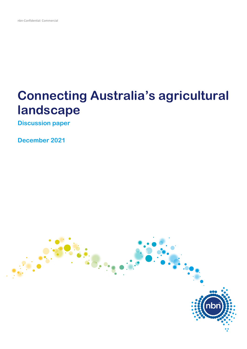# **Connecting Australia's agricultural landscape**

**Discussion paper**

**December 2021**

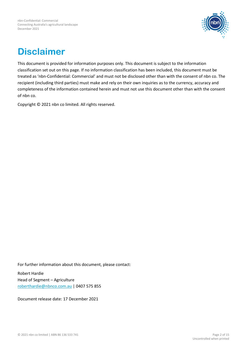

## **Disclaimer**

This document is provided for information purposes only. This document is subject to the information classification set out on this page. If no information classification has been included, this document must be treated as 'nbn-Confidential: Commercial' and must not be disclosed other than with the consent of nbn co. The recipient (including third parties) must make and rely on their own inquiries as to the currency, accuracy and completeness of the information contained herein and must not use this document other than with the consent of nbn co.

Copyright © 2021 nbn co limited. All rights reserved.

For further information about this document, please contact:

Robert Hardie Head of Segment – Agriculture [roberthardie@nbnco.com.au](mailto:roberthardie@nbnco.com.au) | 0407 575 855

Document release date: 17 December 2021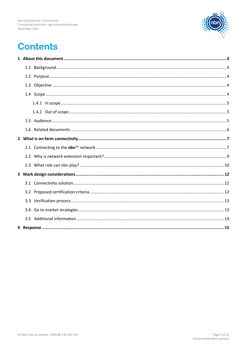

## **Contents**

. . . . . . . . .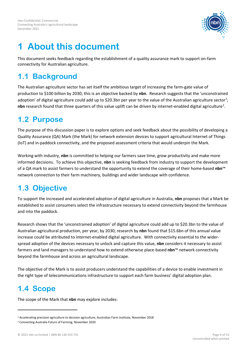

## <span id="page-3-0"></span>**1 About this document**

This document seeks feedback regarding the establishment of a quality assurance mark to support on-farm connectivity for Australian agriculture.

#### <span id="page-3-1"></span>**1.1 Background**

The Australian agriculture sector has set itself the ambitious target of increasing the farm-gate value of production to \$100 billion by 2030; this is an objective backed by **nbn**. Research suggests that the 'unconstrained adoption' of digital agriculture could add up to \$20.3bn per year to the value of the Australian agriculture sector<sup>[1](#page-3-5)</sup>; nbn research found that three quarters of this value uplift can be driven by internet-enabled digital agriculture<sup>[2](#page-3-6)</sup>.

#### <span id="page-3-2"></span>**1.2 Purpose**

The purpose of this discussion paper is to explore options and seek feedback about the possibility of developing a Quality Assurance (QA) Mark (the Mark) for network extension devices to support agricultural Internet of Things (IoT) and in-paddock connectivity, and the proposed assessment criteria that would underpin the Mark.

Working with industry, **nbn** is committed to helping our farmers save time, grow productivity and make more informed decisions. To achieve this objective, **nbn** is seeking feedback from industry to support the development of a QA mark to assist farmers to understand the opportunity to extend the coverage of their home-based **nbn**™ network connection to their farm machinery, buildings and wider landscape with confidence.

### <span id="page-3-3"></span>**1.3 Objective**

To support the increased and accelerated adoption of digital agriculture in Australia, **nbn** proposes that a Mark be established to assist consumers select the infrastructure necessary to extend connectivity beyond the farmhouse and into the paddock.

Research shows that the 'unconstrained adoption' of digital agriculture could add up to \$20.3bn to the value of Australian agricultural production, per year, by 2030; research by **nbn** found that \$15.6bn of this annual value increase could be attributed to internet-enabled digital agriculture. With connectivity essential to the widerspread adoption of the devices necessary to unlock and capture this value, **nbn** considers it necessary to assist farmers and land managers to understand how to extend otherwise place-based **nbn**™ network connectivity beyond the farmhouse and across an agricultural landscape.

The objective of the Mark is to assist producers understand the capabilities of a device to enable investment in the right type of telecommunications infrastructure to support each farm business' digital adoption plan.

### <span id="page-3-4"></span>**1.4 Scope**

The scope of the Mark that **nbn** may explore includes:

<span id="page-3-5"></span><sup>1</sup> Accelerating precision agriculture to decision agriculture, Australian Farm Institute, November 2018

<span id="page-3-6"></span><sup>2</sup> Connecting Australia Future of Farming, November 2020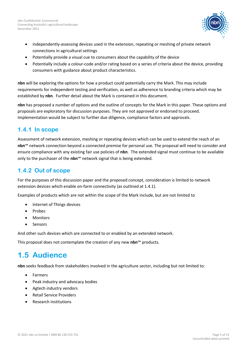

- independently-assessing devices used in the extension, repeating or meshing of private network connections in agricultural settings
- Potentially provide a visual cue to consumers about the capability of the device
- Potentially include a colour-code and/or rating based on a series of criteria about the device, providing consumers with guidance about product characteristics.

**nbn** will be exploring the options for how a product could potentially carry the Mark. This may include requirements for independent testing and verification, as well as adherence to branding criteria which may be established by **nbn**. Further detail about the Mark is contained in this document.

**nbn** has proposed a number of options and the outline of concepts for the Mark in this paper. These options and proposals are exploratory for discussion purposes. They are not approved or endorsed to proceed. Implementation would be subject to further due diligence, compliance factors and approvals.

#### <span id="page-4-0"></span>**1.4.1 In scope**

Assessment of network extension, meshing or repeating devices which can be used to extend the reach of an **nbn**™ network connection beyond a connected premise for personal use. The proposal will need to consider and ensure compliance with any existing fair use policies of **nbn**. The extended signal must continue to be available only to the purchaser of the **nbn**™ network signal that is being extended.

#### <span id="page-4-1"></span>**1.4.2 Out of scope**

For the purposes of this discussion paper and the proposed concept, consideration is limited to network extension devices which enable on-farm connectivity (as outlined at 1.4.1).

Examples of products which are not within the scope of the Mark include, but are not limited to

- Internet of Things devices
- Probes
- **Monitors**
- **Sensors**

And other such devices which are connected to or enabled by an extended network.

This proposal does not contemplate the creation of any new **nbn**™ products.

#### <span id="page-4-2"></span>**1.5 Audience**

**nbn** seeks feedback from stakeholders involved in the agriculture sector, including but not limited to:

- Farmers
- Peak industry and advocacy bodies
- Agtech industry vendors
- Retail Service Providers
- Research institutions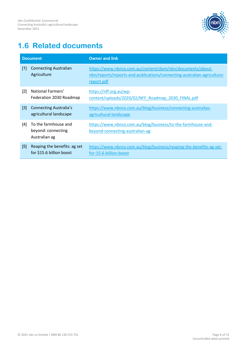

#### <span id="page-5-0"></span>**1.6 Related documents**

|                   | <b>Document</b>                                             | <b>Owner and link</b>                                                                                                                              |
|-------------------|-------------------------------------------------------------|----------------------------------------------------------------------------------------------------------------------------------------------------|
| [1]               | <b>Connecting Australian</b><br>Agriculture                 | https://www.nbnco.com.au/content/dam/nbn/documents/about-<br>nbn/reports/reports-and-publications/connecting-australian-agriculture-<br>report.pdf |
| [2]               | National Farmers'<br>Federation 2030 Roadmap                | https://nff.org.au/wp-<br>content/uploads/2020/02/NFF Roadmap 2030 FINAL.pdf                                                                       |
| [3]               | <b>Connecting Australia's</b><br>agricultural landscape     | https://www.nbnco.com.au/blog/business/connecting-australias-<br>agricultural-landscape                                                            |
| [4]               | To the farmhouse and<br>beyond: connecting<br>Australian ag | https://www.nbnco.com.au/blog/business/to-the-farmhouse-and-<br>beyond-connecting-australian-ag                                                    |
| $\lceil 5 \rceil$ | Reaping the benefits: ag set<br>for \$15.6 billion boost    | https://www.nbnco.com.au/blog/business/reaping-the-benefits-ag-set-<br>for-15-6-billion-boost                                                      |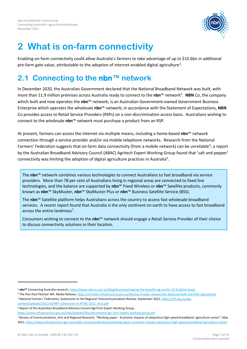

## <span id="page-6-0"></span>**2 What is on-farm connectivity**

Enabling on-farm connectivity could allow Australia's farmers to take advantage of up to \$15.6bn in additional pre-farm gate value, attributable to the adoption of internet-enabled digital agriculture<sup>[3](#page-6-2)</sup>.

### <span id="page-6-1"></span>**2.1 Connecting to the nbn™ network**

In December 2020, the Australian Government declared that the National Broadband Network was built, with more than 11.9 million premises across Australia ready to connect to the nbn™ network<sup>[4](#page-6-3)</sup>. NBN Co, the company which built and now operates the nbn<sup>™</sup> network, is an Australian Government-owned Government Business Enterprise which operates the wholesale **nbn**™ network; in accordance with the Statement of Expectations, **NBN** Co provides access to Retail Service Providers (RSPs) on a non-discrimination access basis. Australians wishing to connect to the wholesale **nbn**™ network must purchase a product from an RSP.

At present, farmers can access the internet via multiple means, including a home-based **nbn**™ network connection through a service provider and/or via mobile telephone networks. Research from the National Farmers' Federation suggests that on-farm data connectivity (from a mobile network) can be unreliable<sup>[5](#page-6-4)</sup>; a report by the Australian Broadband Advisory Council (ABAC) Agritech Expert Working Group found that 'salt and pepper' connectivity was limiting the adoption of digital agriculture practices in Australia<sup>[6](#page-6-5)</sup>.

The **nbn**™ network combines various technologies to connect Australians to fast broadband via service providers. More than 78 per cent of Australians living in regional areas are connected to fixed line technologies, and the balance are supported by **nbn**™ Fixed Wireless or **nbn**™ Satellite products, commonly known as **nbn**™ SkyMuster, **nbn**™ SkyMuster Plus or **nbn**™ Business Satellite Service (BSS).

The **nbn**™ Satellite platform helps Australians across the country to access fast wholesale broadband services. A recent report found that Australia is the only continent on earth to have access to fast broadband across the entire landmass<sup>[7](#page-6-6)</sup>.

Consumers wishing to connect to the **nbn**™ network should engage a Retail Service Provider of their choice to discuss connectivity solutions in their location.

<span id="page-6-2"></span><sup>3</sup> **nbn™** Connecting Australia research[, https://www.nbnco.com.au/blog/business/reaping-the-benefits-ag-set-for-15-6-billion-boost](https://www.nbnco.com.au/blog/business/reaping-the-benefits-ag-set-for-15-6-billion-boost)

<span id="page-6-3"></span><sup>4</sup> The Hon Paul Fletcher MP, Media Release[, https://minister.infrastructure.gov.au/fletcher/media-release/nbn-declared-built-and-fully-operational](https://minister.infrastructure.gov.au/fletcher/media-release/nbn-declared-built-and-fully-operational) 5 National Farmers' Federation, Submission to the Regional Telecommunications Review, September 2021[, https://nff.org.au/wp-](https://nff.org.au/wp-content/uploads/2021/10/NFF-submission-to-RTIRC-2021_final.pdf)

<span id="page-6-4"></span>[content/uploads/2021/10/NFF-submission-to-RTIRC-2021\\_final.pdf](https://nff.org.au/wp-content/uploads/2021/10/NFF-submission-to-RTIRC-2021_final.pdf)

<span id="page-6-5"></span><sup>6</sup> Report of the Australian Broadband Advisory Council AgriTech Expert Working Group,

<https://www.infrastructure.gov.au/sites/default/files/documents/agri-tech-expert-working-group.pdf>

<span id="page-6-6"></span><sup>7</sup> Bureau of Communications, Arts and Regional Research, "Working paper - Economic impacts of ubiquitous high speed broadband: agriculture sector", May 2021[, https://www.infrastructure.gov.au/media-centre/publications/working-paper-economic-impact-ubiquitous-high-speed-broadband-agriculture-sector](https://www.infrastructure.gov.au/media-centre/publications/working-paper-economic-impact-ubiquitous-high-speed-broadband-agriculture-sector)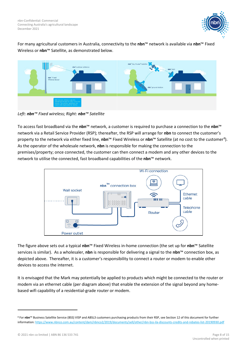

For many agricultural customers in Australia, connectivity to the **nbn**™ network is available via **nbn**™ Fixed Wireless or **nbn**™ Satellite, as demonstrated below.



*Left: nbn™ Fixed wireless; Right: nbn™ Satellite*

To access fast broadband via the **nbn**™ network, a customer is required to purchase a connection to the **nbn**™ network via a Retail Service Provider (RSP); thereafter, the RSP will arrange for **nbn** to connect the customer's property to the network via either fixed line, nbn™ Fixed Wireless or nbn™ Satellite (at no cost to the customer<sup>[8](#page-7-0)</sup>). As the operator of the wholesale network, **nbn** is responsible for making the connection to the premises/property; once connected, the customer can then connect a modem and any other devices to the network to utilise the connected, fast broadband capabilities of the **nbn**™ network.



The figure above sets out a typical **nbn**™ Fixed Wireless in-home connection (the set up for **nbn**™ Satellite services is similar). As a wholesaler, **nbn** is responsible for delivering a signal to the **nbn**™ connection box, as depicted above. Thereafter, it is a customer's responsibility to connect a router or modem to enable other devices to access the internet.

It is envisaged that the Mark may potentially be applied to products which might be connected to the router or modem via an ethernet cable (per diagram above) that enable the extension of the signal beyond any homebased wifi capability of a residential-grade router or modem.

<span id="page-7-0"></span><sup>8</sup> For **nbn**™ Business Satellite Service (BSS) VISP and ABSL3 customers purchasing products from their RSP, see Section 12 of this document for further information[: https://www.nbnco.com.au/content/dam/nbnco2/2019/documents/sell/other/nbn-bss-ila-discounts-credits-and-rebates-list-20190930.pdf](https://www.nbnco.com.au/content/dam/nbnco2/2019/documents/sell/other/nbn-bss-ila-discounts-credits-and-rebates-list-20190930.pdf)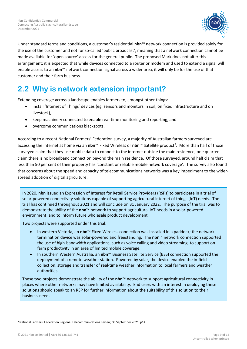

Under standard terms and conditions, a customer's residential **nbn**™ network connection is provided solely for the use of the customer and not for so-called 'public broadcast', meaning that a network connection cannot be made available for 'open source' access for the general public. The proposed Mark does not alter this arrangement; it is expected that while devices connected to a router or modem and used to extend a signal will enable access to an **nbn**™ network connection signal across a wider area, it will only be for the use of that customer and their farm business.

#### <span id="page-8-0"></span>**2.2 Why is network extension important?**

Extending coverage across a landscape enables farmers to, amongst other things:

- install 'Internet of Things' devices (eg. sensors and monitors in soil, on fixed infrastructure and on livestock),
- keep machinery connected to enable real-time monitoring and reporting, and
- overcome communications blackspots.

According to a recent National Farmers' Federation survey, a majority of Australian farmers surveyed are accessing the internet at home via an nbn™ Fixed Wireless or nbn™ Satellite product<sup>[9](#page-8-1)</sup>. More than half of those surveyed claim that they use mobile data to connect to the internet outside the main residence; one quarter claim there is no broadband connection beyond the main residence. Of those surveyed, around half claim that less than 50 per cent of their property has 'constant or reliable mobile network coverage'. The survey also found that concerns about the speed and capacity of telecommunications networks was a key impediment to the widerspread adoption of digital agriculture.

In 2020, **nbn** issued an Expression of Interest for Retail Service Providers (RSPs) to participate in a trial of solar-powered connectivity solutions capable of supporting agricultural internet of things (IoT) needs. The trial has continued throughout 2021 and will conclude on 31 January 2022. The purpose of the trial was to demonstrate the ability of the **nbn**™ network to support agricultural IoT needs in a solar-powered environment, and to inform future wholesale product development.

Two projects were supported under this trial:

- In western Victoria, an **nbn**™ Fixed Wireless connection was installed in a paddock; the network termination device was solar-powered and freestanding. The **nbn**™ network connection supported the use of high-bandwidth applications, such as voice calling and video streaming, to support onfarm productivity in an area of limited mobile coverage.
- In southern Western Australia, an **nbn**™ Business Satellite Service (BSS) connection supported the deployment of a remote weather station. Powered by solar, the device enabled the in-field collection, storage and transfer of real-time weather information to local farmers and weather authorities.

These two projects demonstrate the ability of the **nbn**™ network to support agricultural connectivity in places where other networks may have limited availability. End users with an interest in deploying these solutions should speak to an RSP for further information about the suitability of this solution to their business needs.

© 2021 nbn co limited | ABN 86 136 533 741 Page 9 of 15

<span id="page-8-1"></span><sup>9</sup> National Farmers' Federation Regional Telecommunications Review, 30 September 2021, p14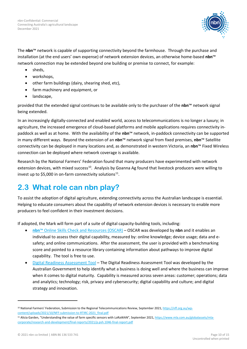

The **nbn**™ network is capable of supporting connectivity beyond the farmhouse. Through the purchase and installation (at the end users' own expense) of network extension devices, an otherwise home-based **nbn**™ network connection may be extended beyond one building or premise to connect, for example:

- sheds,
- workshops,
- other farm buildings (dairy, shearing shed, etc),
- farm machinery and equipment, or
- landscape,

provided that the extended signal continues to be available only to the purchaser of the **nbn**™ network signal being extended.

In an increasingly digitally-connected and enabled world, access to telecommunications is no longer a luxury; in agriculture, the increased emergence of cloud-based platforms and mobile applications requires connectivity inpaddock as well as at home. With the availability of the **nbn**™ network, in-paddock connectivity can be supported in many different ways. Beyond the extension of an **nbn**™ network signal from fixed premises, **nbn**™ Satellite connectivity can be deployed in many locations and, as demonstrated in western Victoria, an **nbn**™ Fixed Wireless connection can be deployed where network coverage is available.

Research by the National Farmers' Federation found that many producers have experimented with network extension devices, with mixed success<sup>[10](#page-9-1)</sup>. Analysis by Goanna Ag found that livestock producers were willing to invest up to \$5,000 in on-farm connectivity solutions $^{11}$  $^{11}$  $^{11}$ .

#### <span id="page-9-0"></span>**2.3 What role can nbn play?**

To assist the adoption of digital agriculture, extending connectivity across the Australian landscape is essential. Helping to educate consumers about the capability of network extension devices is necessary to enable more producers to feel confident in their investment decisions.

If adopted, the Mark will form part of a suite of digital capacity-building tools, including:

- **nbn**[™ Online Skills Check and Resources \(OSCAR\)](https://onlineskillscheck.com.au/) OSCAR was developed by **nbn** and it enables an individual to assess their digital capability, measured by: online knowledge; device usage; data and esafety; and online communications. After the assessment, the user is provided with a benchmarking score and pointed to a resource library containing information about pathways to improve digital capability. The tool is free to use.
- [Digital Readiness Assessment Tool](https://business.gov.au/online/what-is-your-business-digital-maturity) The Digital Readiness Assessment Tool was developed by the Australian Government to help identify what a business is doing well and where the business can improve when it comes to digital maturity. Capability is measured across seven areas: customer; operations; data and analytics; technology; risk, privacy and cybersecurity; digital capability and culture; and digital strategy and innovation.

<span id="page-9-1"></span><sup>&</sup>lt;sup>10</sup> National Farmers' Federation, Submission to the Regional Telecommunications Review, September 2021[, https://nff.org.au/wp](https://nff.org.au/wp-content/uploads/2021/10/NFF-submission-to-RTIRC-2021_final.pdf)[content/uploads/2021/10/NFF-submission-to-RTIRC-2021\\_final.pdf](https://nff.org.au/wp-content/uploads/2021/10/NFF-submission-to-RTIRC-2021_final.pdf)

<span id="page-9-2"></span><sup>&</sup>lt;sup>11</sup> Alicia Garden, "Understanding the value of farm specific sensors with LoRaWAN", September 2021[, https://www.mla.com.au/globalassets/mla](https://www.mla.com.au/globalassets/mla-corporate/research-and-development/final-reports/2021/p.psh.1046-final-report.pdf)[corporate/research-and-development/final-reports/2021/p.psh.1046-final-report.pdf](https://www.mla.com.au/globalassets/mla-corporate/research-and-development/final-reports/2021/p.psh.1046-final-report.pdf)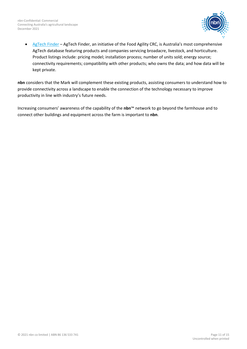

• [AgTech Finder](https://agtechfinder.com/) – AgTech Finder, an initiative of the Food Agility CRC, is Australia's most comprehensive AgTech database featuring products and companies servicing broadacre, livestock, and horticulture. Product listings include: pricing model; installation process; number of units sold; energy source; connectivity requirements; compatibility with other products; who owns the data; and how data will be kept private.

**nbn** considers that the Mark will complement these existing products, assisting consumers to understand how to provide connectivity across a landscape to enable the connection of the technology necessary to improve productivity in line with industry's future needs.

Increasing consumers' awareness of the capability of the **nbn**™ network to go beyond the farmhouse and to connect other buildings and equipment across the farm is important to **nbn**.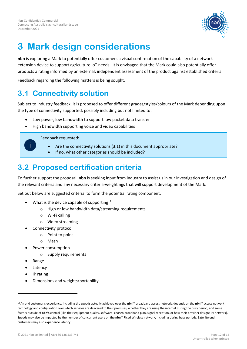

## <span id="page-11-0"></span>**3 Mark design considerations**

**nbn** is exploring a Mark to potentially offer customers a visual confirmation of the capability of a network extension device to support agriculture IoT needs. It is envisaged that the Mark could also potentially offer products a rating informed by an external, independent assessment of the product against established criteria.

Feedback regarding the following matters is being sought.

#### <span id="page-11-1"></span>**3.1 Connectivity solution**

Subject to industry feedback, it is proposed to offer different grades/styles/colours of the Mark depending upon the type of connectivity supported, possibly including but not limited to:

- Low power, low bandwidth to support low packet data transfer
- High bandwidth supporting voice and video capabilities

Feedback requested:

- Are the connectivity solutions (3.1) in this document appropriate?
- If no, what other categories should be included?

#### <span id="page-11-2"></span>**3.2 Proposed certification criteria**

To further support the proposal, **nbn** is seeking input from industry to assist us in our investigation and design of the relevant criteria and any necessary criteria-weightings that will support development of the Mark.

Set out below are suggested criteria to form the potential rating component:

- What is the device capable of supporting<sup>12</sup>:
	- o High or low bandwidth data/streaming requirements
	- o Wi-Fi calling
	- o Video streaming
- Connectivity protocol
	- o Point to point
	- o Mesh
- Power consumption
	- o Supply requirements
- Range
- **Latency**
- IP rating
- Dimensions and weights/portability

© 2021 nbn co limited | ABN 86 136 533 741 Page 12 of 15

<span id="page-11-3"></span><sup>12</sup> An end customer's experience, including the speeds actually achieved over the **nbn**™ broadband access network, depends on the **nbn**™ access network technology and configuration over which services are delivered to their premises, whether they are using the internet during the busy period, and some factors outside of **nbn's** control (like their equipment quality, software, chosen broadband plan, signal reception, or how their provider designs its network). Speeds may also be impacted by the number of concurrent users on the **nbn**™ Fixed Wireless network, including during busy periods. Satellite end customers may also experience latency.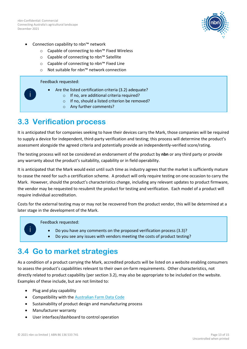

- Connection capability to nbn™ network
	- o Capable of connecting to nbn™ Fixed Wireless
	- o Capable of connecting to nbn™ Satellite
	- o Capable of connecting to nbn™ Fixed Line
	- o Not suitable for nbn™ network connection

Feedback requested:

- Are the listed certification criteria (3.2) adequate?
	- o If no, are additional criteria required?
	- o If no, should a listed criterion be removed?
	- o Any further comments?

#### <span id="page-12-0"></span>**3.3 Verification process**

It is anticipated that for companies seeking to have their devices carry the Mark, those companies will be required to supply a device for independent, third-party verification and testing; this process will determine the product's assessment alongside the agreed criteria and potentially provide an independently-verified score/rating.

The testing process will not be considered an endorsement of the product by **nbn** or any third party or provide any warranty about the product's suitability, capability or in field operability.

It is anticipated that the Mark would exist until such time as industry agrees that the market is sufficiently mature to cease the need for such a certification scheme. A product will only require testing on one occasion to carry the Mark. However, should the product's characteristics change, including any relevant updates to product firmware, the vendor may be requested to resubmit the product for testing and verification. Each model of a product will require individual accreditation.

Costs for the external testing may or may not be recovered from the product vendor, this will be determined at a later stage in the development of the Mark.

Feedback requested:

- Do you have any comments on the proposed verification process (3.3)?
- Do you see any issues with vendors meeting the costs of product testing?

#### <span id="page-12-1"></span>**3.4 Go to market strategies**

As a condition of a product carrying the Mark, accredited products will be listed on a website enabling consumers to assess the product's capabilities relevant to their own on-farm requirements. Other characteristics, not directly related to product capability (per section 3.2), may also be appropriate to be included on the website. Examples of these include, but are not limited to:

- Plug and play capability
- Compatibility with th[e Australian Farm Data Code](https://nff.org.au/programs/australian-farm-data-code/)
- Sustainability of product design and manufacturing process
- Manufacturer warranty
- User interface/dashboard to control operation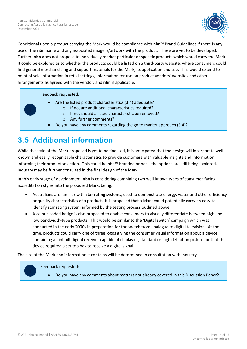

Conditional upon a product carrying the Mark would be compliance with **nbn**™ Brand Guidelines if there is any use of the **nbn** name and any associated imagery/artwork with the product. These are yet to be developed. Further, **nbn** does not propose to individually market particular or specific products which would carry the Mark. It could be explored as to whether the products could be listed on a third-party website, where consumers could find general merchandising and support materials for the Mark, its application and use. This would extend to point of sale information in retail settings, information for use on product vendors' websites and other arrangements as agreed with the vendor, and **nbn** if applicable.

Feedback requested:

- Are the listed product characteristics (3.4) adequate?
	- o If no, are additional characteristics required?
	- o If no, should a listed characteristic be removed?
	- o Any further comments?
- Do you have any comments regarding the go to market approach (3.4)?

#### <span id="page-13-0"></span>**3.5 Additional information**

While the style of the Mark proposed is yet to be finalised, it is anticipated that the design will incorporate wellknown and easily recognisable characteristics to provide customers with valuable insights and information informing their product selection. This could be nbn™ branded or not – the options are still being explored. Industry may be further consulted in the final design of the Mark.

In this early stage of development, **nbn** is considering combining two well-known types of consumer-facing accreditation styles into the proposed Mark, being:

- Australians are familiar with **star rating** systems, used to demonstrate energy, water and other efficiency or quality characteristics of a product. It is proposed that a Mark could potentially carry an easy-toidentify star rating system informed by the testing process outlined above.
- A colour-coded badge is also proposed to enable consumers to visually differentiate between high and low bandwidth-type products. This would be similar to the 'Digital switch' campaign which was conducted in the early 2000s in preparation for the switch from analogue to digital television. At the time, products could carry one of three logos giving the consumer visual information about a device containing an inbuilt digital receiver capable of displaying standard or high definition picture, or that the device required a set top box to receive a digital signal.

The size of the Mark and information it contains will be determined in consultation with industry.

Feedback requested:

• Do you have any comments about matters not already covered in this Discussion Paper?